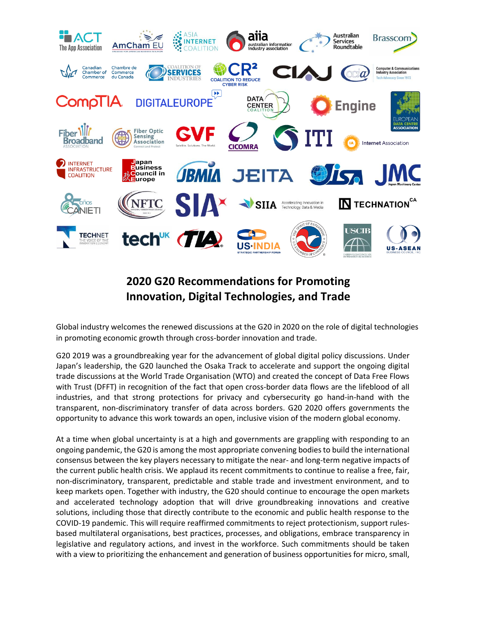

# **2020 G20 Recommendations for Promoting Innovation, Digital Technologies, and Trade**

Global industry welcomes the renewed discussions at the G20 in 2020 on the role of digital technologies in promoting economic growth through cross-border innovation and trade.

G20 2019 was a groundbreaking year for the advancement of global digital policy discussions. Under Japan's leadership, the G20 launched the Osaka Track to accelerate and support the ongoing digital trade discussions at the World Trade Organisation (WTO) and created the concept of Data Free Flows with Trust (DFFT) in recognition of the fact that open cross-border data flows are the lifeblood of all industries, and that strong protections for privacy and cybersecurity go hand-in-hand with the transparent, non-discriminatory transfer of data across borders. G20 2020 offers governments the opportunity to advance this work towards an open, inclusive vision of the modern global economy.

At a time when global uncertainty is at a high and governments are grappling with responding to an ongoing pandemic, the G20 is among the most appropriate convening bodiesto build the international consensus between the key players necessary to mitigate the near- and long-term negative impacts of the current public health crisis. We applaud its recent commitments to continue to realise a free, fair, non-discriminatory, transparent, predictable and stable trade and investment environment, and to keep markets open. Together with industry, the G20 should continue to encourage the open markets and accelerated technology adoption that will drive groundbreaking innovations and creative solutions, including those that directly contribute to the economic and public health response to the COVID-19 pandemic. This will require reaffirmed commitments to reject protectionism, support rulesbased multilateral organisations, best practices, processes, and obligations, embrace transparency in legislative and regulatory actions, and invest in the workforce. Such commitments should be taken with a view to prioritizing the enhancement and generation of business opportunities for micro, small,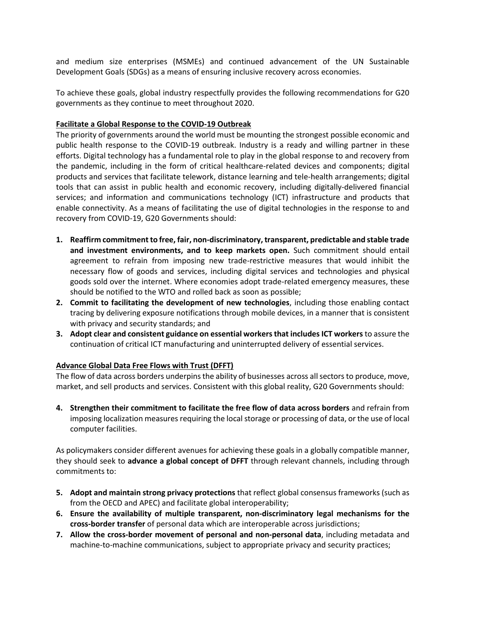and medium size enterprises (MSMEs) and continued advancement of the UN Sustainable Development Goals (SDGs) as a means of ensuring inclusive recovery across economies.

To achieve these goals, global industry respectfully provides the following recommendations for G20 governments as they continue to meet throughout 2020.

#### **Facilitate a Global Response to the COVID-19 Outbreak**

The priority of governments around the world must be mounting the strongest possible economic and public health response to the COVID-19 outbreak. Industry is a ready and willing partner in these efforts. Digital technology has a fundamental role to play in the global response to and recovery from the pandemic, including in the form of critical healthcare-related devices and components; digital products and services that facilitate telework, distance learning and tele-health arrangements; digital tools that can assist in public health and economic recovery, including digitally-delivered financial services; and information and communications technology (ICT) infrastructure and products that enable connectivity. As a means of facilitating the use of digital technologies in the response to and recovery from COVID-19, G20 Governments should:

- **1. Reaffirm commitment to free, fair, non-discriminatory, transparent, predictable and stable trade and investment environments, and to keep markets open.** Such commitment should entail agreement to refrain from imposing new trade-restrictive measures that would inhibit the necessary flow of goods and services, including digital services and technologies and physical goods sold over the internet. Where economies adopt trade-related emergency measures, these should be notified to the WTO and rolled back as soon as possible;
- **2. Commit to facilitating the development of new technologies**, including those enabling contact tracing by delivering exposure notifications through mobile devices, in a manner that is consistent with privacy and security standards; and
- **3. Adopt clear and consistent guidance on essential workers that includes ICT workers**to assure the continuation of critical ICT manufacturing and uninterrupted delivery of essential services.

### **Advance Global Data Free Flows with Trust (DFFT)**

The flow of data across borders underpins the ability of businesses across all sectors to produce, move, market, and sell products and services. Consistent with this global reality, G20 Governments should:

**4. Strengthen their commitment to facilitate the free flow of data across borders** and refrain from imposing localization measures requiring the local storage or processing of data, or the use of local computer facilities.

As policymakers consider different avenues for achieving these goals in a globally compatible manner, they should seek to **advance a global concept of DFFT** through relevant channels, including through commitments to:

- **5. Adopt and maintain strong privacy protections** that reflect global consensus frameworks (such as from the OECD and APEC) and facilitate global interoperability;
- **6. Ensure the availability of multiple transparent, non-discriminatory legal mechanisms for the cross-border transfer** of personal data which are interoperable across jurisdictions;
- **7. Allow the cross-border movement of personal and non-personal data**, including metadata and machine-to-machine communications, subject to appropriate privacy and security practices;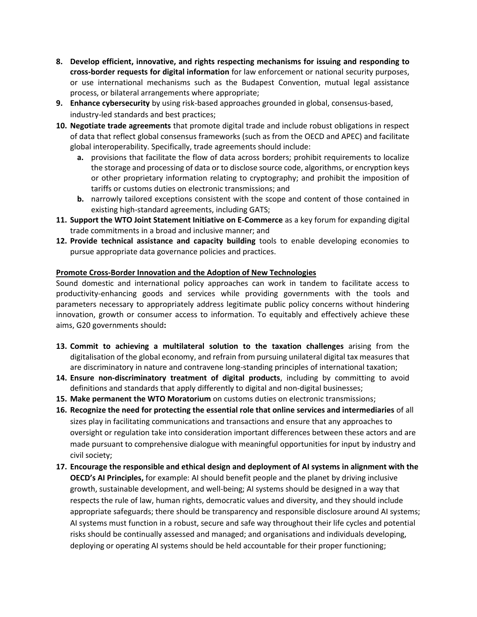- **8. Develop efficient, innovative, and rights respecting mechanisms for issuing and responding to cross-border requests for digital information** for law enforcement or national security purposes, or use international mechanisms such as the Budapest Convention, mutual legal assistance process, or bilateral arrangements where appropriate;
- **9. Enhance cybersecurity** by using risk-based approaches grounded in global, consensus-based, industry-led standards and best practices;
- **10. Negotiate trade agreements** that promote digital trade and include robust obligations in respect of data that reflect global consensus frameworks (such as from the OECD and APEC) and facilitate global interoperability. Specifically, trade agreements should include:
	- **a.** provisions that facilitate the flow of data across borders; prohibit requirements to localize the storage and processing of data or to disclose source code, algorithms, or encryption keys or other proprietary information relating to cryptography; and prohibit the imposition of tariffs or customs duties on electronic transmissions; and
	- **b.** narrowly tailored exceptions consistent with the scope and content of those contained in existing high-standard agreements, including GATS;
- **11. Support the WTO Joint Statement Initiative on E-Commerce** as a key forum for expanding digital trade commitments in a broad and inclusive manner; and
- **12. Provide technical assistance and capacity building** tools to enable developing economies to pursue appropriate data governance policies and practices.

### **Promote Cross-Border Innovation and the Adoption of New Technologies**

Sound domestic and international policy approaches can work in tandem to facilitate access to productivity-enhancing goods and services while providing governments with the tools and parameters necessary to appropriately address legitimate public policy concerns without hindering innovation, growth or consumer access to information. To equitably and effectively achieve these aims, G20 governments should**:**

- **13. Commit to achieving a multilateral solution to the taxation challenges** arising from the digitalisation of the global economy, and refrain from pursuing unilateral digital tax measures that are discriminatory in nature and contravene long-standing principles of international taxation;
- **14. Ensure non-discriminatory treatment of digital products**, including by committing to avoid definitions and standards that apply differently to digital and non-digital businesses;
- **15. Make permanent the WTO Moratorium** on customs duties on electronic transmissions;
- **16. Recognize the need for protecting the essential role that online services and intermediaries** of all sizes play in facilitating communications and transactions and ensure that any approaches to oversight or regulation take into consideration important differences between these actors and are made pursuant to comprehensive dialogue with meaningful opportunities for input by industry and civil society;
- **17. Encourage the responsible and ethical design and deployment of AI systems in alignment with the OECD's AI Principles,** for example: AI should benefit people and the planet by driving inclusive growth, sustainable development, and well-being; AI systems should be designed in a way that respects the rule of law, human rights, democratic values and diversity, and they should include appropriate safeguards; there should be transparency and responsible disclosure around AI systems; AI systems must function in a robust, secure and safe way throughout their life cycles and potential risks should be continually assessed and managed; and organisations and individuals developing, deploying or operating AI systems should be held accountable for their proper functioning;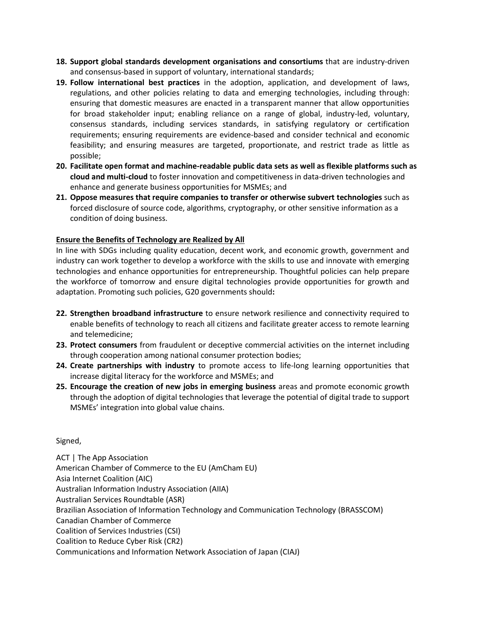- **18. Support global standards development organisations and consortiums** that are industry-driven and consensus-based in support of voluntary, international standards;
- **19. Follow international best practices** in the adoption, application, and development of laws, regulations, and other policies relating to data and emerging technologies, including through: ensuring that domestic measures are enacted in a transparent manner that allow opportunities for broad stakeholder input; enabling reliance on a range of global, industry-led, voluntary, consensus standards, including services standards, in satisfying regulatory or certification requirements; ensuring requirements are evidence-based and consider technical and economic feasibility; and ensuring measures are targeted, proportionate, and restrict trade as little as possible;
- **20. Facilitate open format and machine-readable public data sets as well as flexible platforms such as cloud and multi-cloud** to foster innovation and competitiveness in data-driven technologies and enhance and generate business opportunities for MSMEs; and
- **21. Oppose measures that require companies to transfer or otherwise subvert technologies** such as forced disclosure of source code, algorithms, cryptography, or other sensitive information as a condition of doing business.

## **Ensure the Benefits of Technology are Realized by All**

In line with SDGs including quality education, decent work, and economic growth, government and industry can work together to develop a workforce with the skills to use and innovate with emerging technologies and enhance opportunities for entrepreneurship. Thoughtful policies can help prepare the workforce of tomorrow and ensure digital technologies provide opportunities for growth and adaptation. Promoting such policies, G20 governments should**:**

- **22. Strengthen broadband infrastructure** to ensure network resilience and connectivity required to enable benefits of technology to reach all citizens and facilitate greater access to remote learning and telemedicine;
- **23. Protect consumers** from fraudulent or deceptive commercial activities on the internet including through cooperation among national consumer protection bodies;
- **24. Create partnerships with industry** to promote access to life-long learning opportunities that increase digital literacy for the workforce and MSMEs; and
- **25. Encourage the creation of new jobs in emerging business** areas and promote economic growth through the adoption of digital technologies that leverage the potential of digital trade to support MSMEs' integration into global value chains.

### Signed,

ACT | The App Association American Chamber of Commerce to the EU (AmCham EU) Asia Internet Coalition (AIC) Australian Information Industry Association (AIIA) Australian Services Roundtable (ASR) Brazilian Association of Information Technology and Communication Technology (BRASSCOM) Canadian Chamber of Commerce Coalition of Services Industries (CSI) Coalition to Reduce Cyber Risk (CR2) Communications and Information Network Association of Japan (CIAJ)